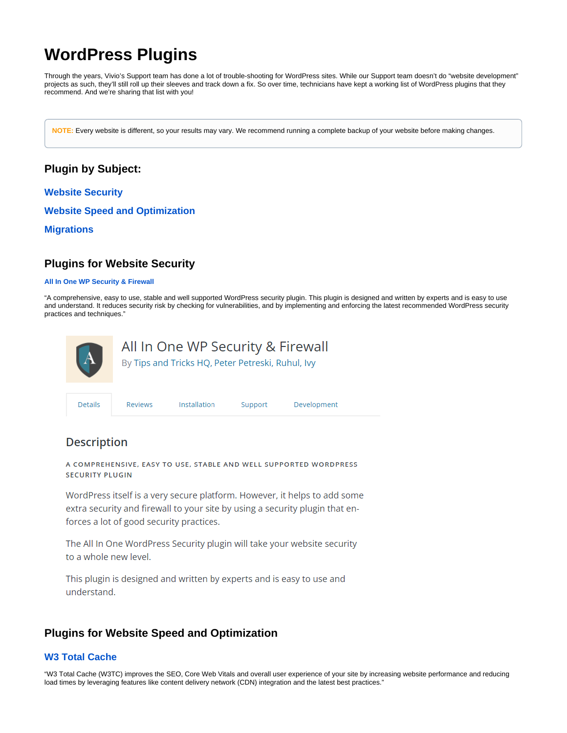# <span id="page-0-2"></span>**WordPress Plugins**

Through the years, Vivio's Support team has done a lot of trouble-shooting for WordPress sites. While our Support team doesn't do "website development" projects as such, they'll still roll up their sleeves and track down a fix. So over time, technicians have kept a working list of WordPress plugins that they recommend. And we're sharing that list with you!

**NOTE:** Every website is different, so your results may vary. We recommend running a complete backup of your website before making changes.

## **Plugin by Subject:**

**[Website Security](#page-0-0)**

**[Website Speed and Optimization](#page-0-1)**

**[Migrations](#page-2-0)**

## <span id="page-0-0"></span>**Plugins for Website Security**

#### **[All In One WP Security & Firewall](https://wordpress.org/plugins/all-in-one-wp-security-and-firewall/)**

"A comprehensive, easy to use, stable and well supported WordPress security plugin. This plugin is designed and written by experts and is easy to use and understand. It reduces security risk by checking for vulnerabilities, and by implementing and enforcing the latest recommended WordPress security practices and techniques."



## **Description**

A COMPREHENSIVE, EASY TO USE, STABLE AND WELL SUPPORTED WORDPRESS **SECURITY PLUGIN** 

WordPress itself is a very secure platform. However, it helps to add some extra security and firewall to your site by using a security plugin that enforces a lot of good security practices.

The All In One WordPress Security plugin will take your website security to a whole new level.

This plugin is designed and written by experts and is easy to use and understand.

## <span id="page-0-1"></span>**Plugins for Website Speed and Optimization**

#### **[W3 Total Cache](https://wordpress.org/plugins/w3-total-cache/)**

"W3 Total Cache (W3TC) improves the SEO, Core Web Vitals and overall user experience of your site by increasing website performance and reducing load times by leveraging features like content delivery network (CDN) integration and the latest best practices."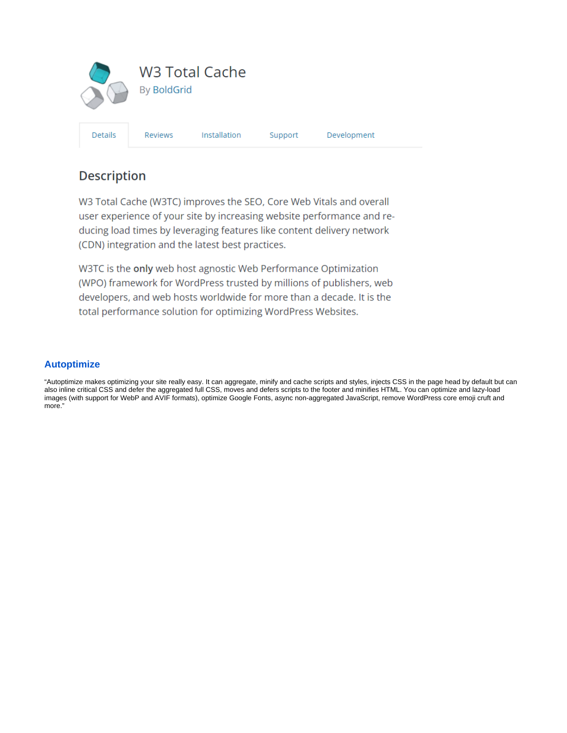

## **Description**

W3 Total Cache (W3TC) improves the SEO, Core Web Vitals and overall user experience of your site by increasing website performance and reducing load times by leveraging features like content delivery network (CDN) integration and the latest best practices.

W3TC is the only web host agnostic Web Performance Optimization (WPO) framework for WordPress trusted by millions of publishers, web developers, and web hosts worldwide for more than a decade. It is the total performance solution for optimizing WordPress Websites.

#### **[Autoptimize](https://wordpress.org/plugins/autoptimize/)**

"Autoptimize makes optimizing your site really easy. It can aggregate, minify and cache scripts and styles, injects CSS in the page head by default but can also inline critical CSS and defer the aggregated full CSS, moves and defers scripts to the footer and minifies HTML. You can optimize and lazy-load images (with support for WebP and AVIF formats), optimize Google Fonts, async non-aggregated JavaScript, remove WordPress core emoji cruft and more."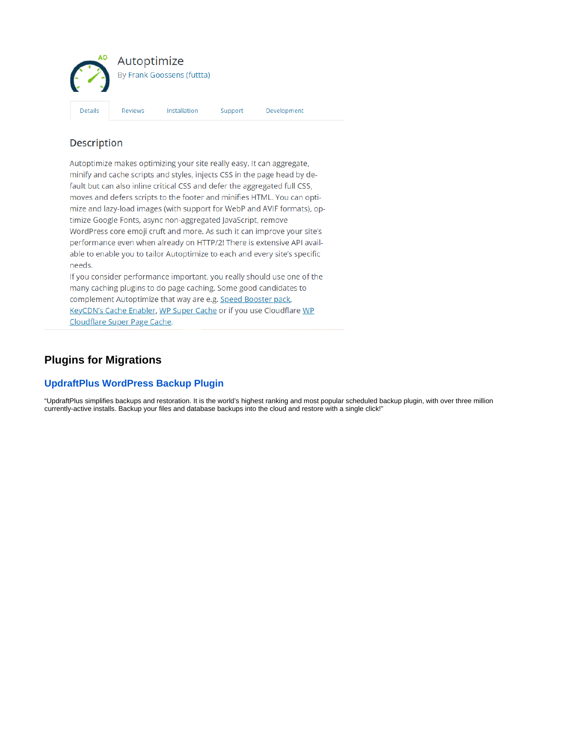

### **Description**

Autoptimize makes optimizing your site really easy. It can aggregate, minify and cache scripts and styles, injects CSS in the page head by default but can also inline critical CSS and defer the aggregated full CSS, moves and defers scripts to the footer and minifies HTML. You can optimize and lazy-load images (with support for WebP and AVIF formats), optimize Google Fonts, async non-aggregated JavaScript, remove WordPress core emoji cruft and more. As such it can improve your site's performance even when already on HTTP/2! There is extensive API available to enable you to tailor Autoptimize to each and every site's specific needs.

If you consider performance important, you really should use one of the many caching plugins to do page caching. Some good candidates to complement Autoptimize that way are e.g. Speed Booster pack, KeyCDN's Cache Enabler, WP Super Cache or if you use Cloudflare WP Cloudflare Super Page Cache.

## <span id="page-2-0"></span>**Plugins for Migrations**

#### **[UpdraftPlus WordPress Backup Plugin](https://wordpress.org/plugins/updraftplus/)**

"UpdraftPlus simplifies backups and restoration. It is the world's highest ranking and most popular scheduled backup plugin, with over three million currently-active installs. Backup your files and database backups into the cloud and restore with a single click!"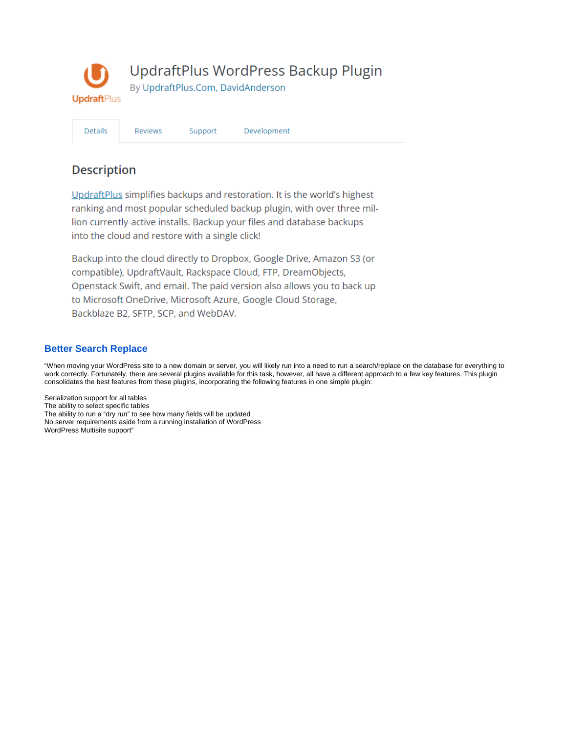

Development

Support

**Description** 

Details

Reviews

UpdraftPlus simplifies backups and restoration. It is the world's highest ranking and most popular scheduled backup plugin, with over three million currently-active installs. Backup your files and database backups into the cloud and restore with a single click!

Backup into the cloud directly to Dropbox, Google Drive, Amazon S3 (or compatible), UpdraftVault, Rackspace Cloud, FTP, DreamObjects, Openstack Swift, and email. The paid version also allows you to back up to Microsoft OneDrive, Microsoft Azure, Google Cloud Storage, Backblaze B2, SFTP, SCP, and WebDAV.

#### **[Better Search Replace](https://wordpress.org/plugins/better-search-replace/)**

"When moving your WordPress site to a new domain or server, you will likely run into a need to run a search/replace on the database for everything to work correctly. Fortunately, there are several plugins available for this task, however, all have a different approach to a few key features. This plugin consolidates the best features from these plugins, incorporating the following features in one simple plugin:

Serialization support for all tables The ability to select specific tables The ability to run a "dry run" to see how many fields will be updated No server requirements aside from a running installation of WordPress WordPress Multisite support"